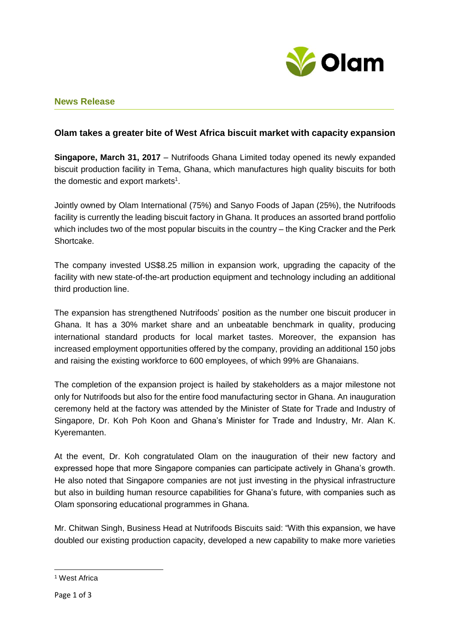

# **News Release**

# **Olam takes a greater bite of West Africa biscuit market with capacity expansion**

**Singapore, March 31, 2017** – Nutrifoods Ghana Limited today opened its newly expanded biscuit production facility in Tema, Ghana, which manufactures high quality biscuits for both the domestic and export markets<sup>1</sup>.

Jointly owned by Olam International (75%) and Sanyo Foods of Japan (25%), the Nutrifoods facility is currently the leading biscuit factory in Ghana. It produces an assorted brand portfolio which includes two of the most popular biscuits in the country – the King Cracker and the Perk Shortcake.

The company invested US\$8.25 million in expansion work, upgrading the capacity of the facility with new state-of-the-art production equipment and technology including an additional third production line.

The expansion has strengthened Nutrifoods' position as the number one biscuit producer in Ghana. It has a 30% market share and an unbeatable benchmark in quality, producing international standard products for local market tastes. Moreover, the expansion has increased employment opportunities offered by the company, providing an additional 150 jobs and raising the existing workforce to 600 employees, of which 99% are Ghanaians.

The completion of the expansion project is hailed by stakeholders as a major milestone not only for Nutrifoods but also for the entire food manufacturing sector in Ghana. An inauguration ceremony held at the factory was attended by the Minister of State for Trade and Industry of Singapore, Dr. Koh Poh Koon and Ghana's Minister for Trade and Industry, Mr. Alan K. Kyeremanten.

At the event, Dr. Koh congratulated Olam on the inauguration of their new factory and expressed hope that more Singapore companies can participate actively in Ghana's growth. He also noted that Singapore companies are not just investing in the physical infrastructure but also in building human resource capabilities for Ghana's future, with companies such as Olam sponsoring educational programmes in Ghana.

Mr. Chitwan Singh, Business Head at Nutrifoods Biscuits said: "With this expansion, we have doubled our existing production capacity, developed a new capability to make more varieties

**<sup>.</sup>** <sup>1</sup> West Africa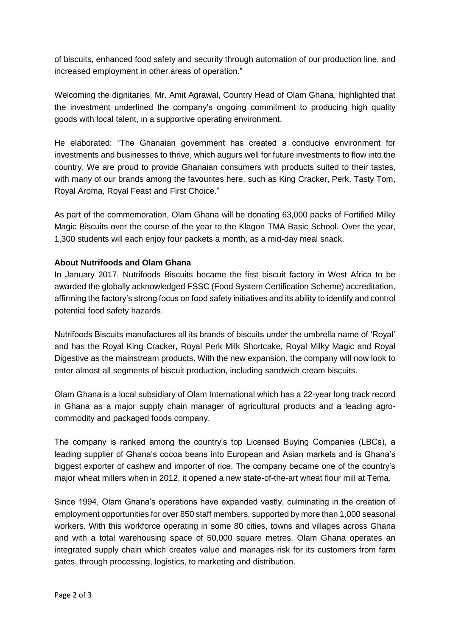of biscuits, enhanced food safety and security through automation of our production line, and increased employment in other areas of operation."

Welcoming the dignitaries, Mr. Amit Agrawal, Country Head of Olam Ghana, highlighted that the investment underlined the company's ongoing commitment to producing high quality goods with local talent, in a supportive operating environment.

He elaborated: "The Ghanaian government has created a conducive environment for investments and businesses to thrive, which augurs well for future investments to flow into the country. We are proud to provide Ghanaian consumers with products suited to their tastes, with many of our brands among the favourites here, such as King Cracker, Perk, Tasty Tom, Royal Aroma, Royal Feast and First Choice."

As part of the commemoration, Olam Ghana will be donating 63,000 packs of Fortified Milky Magic Biscuits over the course of the year to the Klagon TMA Basic School. Over the year, 1,300 students will each enjoy four packets a month, as a mid-day meal snack.

## **About Nutrifoods and Olam Ghana**

In January 2017, Nutrifoods Biscuits became the first biscuit factory in West Africa to be awarded the globally acknowledged FSSC (Food System Certification Scheme) accreditation, affirming the factory's strong focus on food safety initiatives and its ability to identify and control potential food safety hazards.

Nutrifoods Biscuits manufactures all its brands of biscuits under the umbrella name of 'Royal' and has the Royal King Cracker, Royal Perk Milk Shortcake, Royal Milky Magic and Royal Digestive as the mainstream products. With the new expansion, the company will now look to enter almost all segments of biscuit production, including sandwich cream biscuits.

Olam Ghana is a local subsidiary of Olam International which has a 22-year long track record in Ghana as a major supply chain manager of agricultural products and a leading agrocommodity and packaged foods company.

The company is ranked among the country's top Licensed Buying Companies (LBCs), a leading supplier of Ghana's cocoa beans into European and Asian markets and is Ghana's biggest exporter of cashew and importer of rice. The company became one of the country's major wheat millers when in 2012, it opened a new state-of-the-art wheat flour mill at Tema.

Since 1994, Olam Ghana's operations have expanded vastly, culminating in the creation of employment opportunities for over 850 staff members, supported by more than 1,000 seasonal workers. With this workforce operating in some 80 cities, towns and villages across Ghana and with a total warehousing space of 50,000 square metres, Olam Ghana operates an integrated supply chain which creates value and manages risk for its customers from farm gates, through processing, logistics, to marketing and distribution.